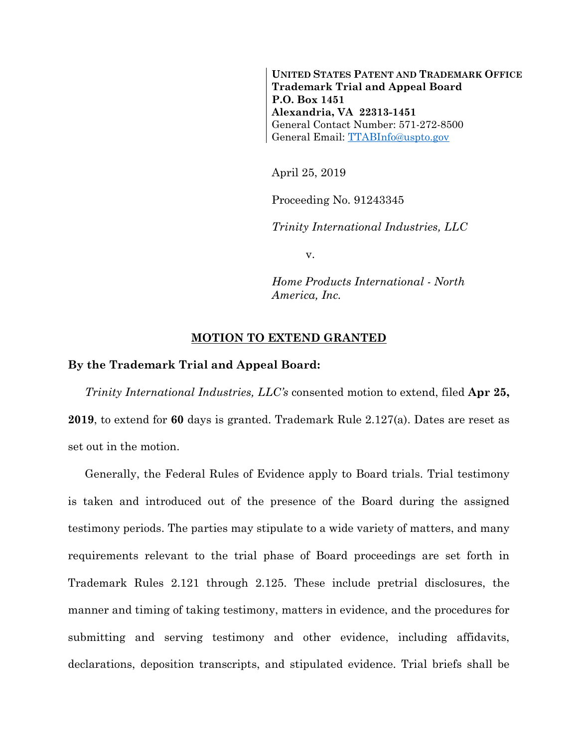**UNITED STATES PATENT AND TRADEMARK OFFICE Trademark Trial and Appeal Board P.O. Box 1451 Alexandria, VA 22313-1451** General Contact Number: 571-272-8500 General Email: [TTABInfo@uspto.gov](mailto:TTABInfo@uspto.gov)

April 25, 2019

Proceeding No. 91243345

*Trinity International Industries, LLC*

v.

*Home Products International - North America, Inc.*

## **MOTION TO EXTEND GRANTED**

## **By the Trademark Trial and Appeal Board:**

*Trinity International Industries, LLC's* consented motion to extend, filed **Apr 25, 2019**, to extend for **60** days is granted. Trademark Rule 2.127(a). Dates are reset as set out in the motion.

Generally, the Federal Rules of Evidence apply to Board trials. Trial testimony is taken and introduced out of the presence of the Board during the assigned testimony periods. The parties may stipulate to a wide variety of matters, and many requirements relevant to the trial phase of Board proceedings are set forth in Trademark Rules 2.121 through 2.125. These include pretrial disclosures, the manner and timing of taking testimony, matters in evidence, and the procedures for submitting and serving testimony and other evidence, including affidavits, declarations, deposition transcripts, and stipulated evidence. Trial briefs shall be